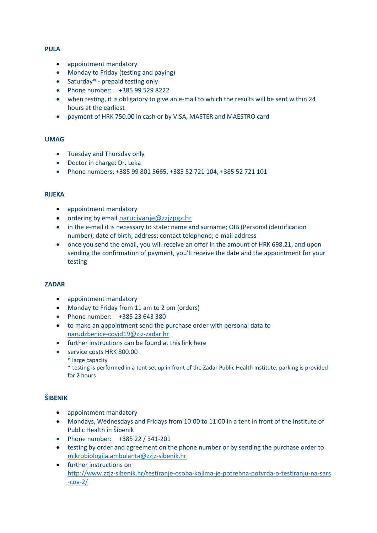## **PULA**

- appointment mandatory
- Monday to Friday (testing and paying)
- Saturday\* prepaid testing only
- Phone number: +385 99 529 8222
- when testing, it is obligatory to give an e-mail to which the results will be sent within 24 hours at the earliest
- payment of HRK 750.00 in cash or by VISA, MASTER and MAESTRO card

## **UMAG**

- Tuesday and Thursday only
- Doctor in charge: Dr. Leka
- Phone numbers: +385 99 801 5665, +385 52 721 104, +385 52 721 101

#### **RIJEKA**

- appointment mandatory
- ordering by email [narucivanje@zzjzpgz.hr](mailto:narucivanje@zzjzpgz.hr)
- in the e-mail it is necessary to state: name and surname; OIB (Personal identification number); date of birth; address; contact telephone; e-mail address
- once you send the email, you will receive an offer in the amount of HRK 698.21, and upon sending the confirmation of payment, you'll receive the date and the appointment for your testing

### **ZADAR**

- appointment mandatory
- Monday to Friday from 11 am to 2 pm (orders)
- Phone number: +385 23 643 380
- to make an appointment send the purchase order with personal data to [narudzbenice-covid19@zjz-zadar.hr](mailto:narudzbenice-covid19@zjz-zadar.hr)
- further instructions can be found at this lin[k here](https://www.zjz-zadar.hr/hr/home/dogadjanja/obavijesti/869)
- service costs HRK 800.00
	- \* large capacity

\* testing is performed in a tent set up in front of the Zadar Public Health Institute, parking is provided for 2 hours

### **ŠIBENIK**

- appointment mandatory
- Mondays, Wednesdays and Fridays from 10:00 to 11:00 in a tent in front of the Institute of Public Health in Šibenik
- Phone number: +385 22 / 341-201
- testing by order and agreement on the phone number or by sending the purchase order to [mikrobiologija.ambulanta@zzjz-sibenik.hr](mailto:mikrobiologija.ambulanta@zzjz-sibenik.hr)
- further instructions on [http://www.zzjz-sibenik.hr/testiranje-osoba-kojima-je-potrebna-potvrda-o-testiranju-na-sars](http://www.zzjz-sibenik.hr/testiranje-osoba-kojima-je-potrebna-potvrda-o-testiranju-na-sars-cov-2/) [-cov-2/](http://www.zzjz-sibenik.hr/testiranje-osoba-kojima-je-potrebna-potvrda-o-testiranju-na-sars-cov-2/)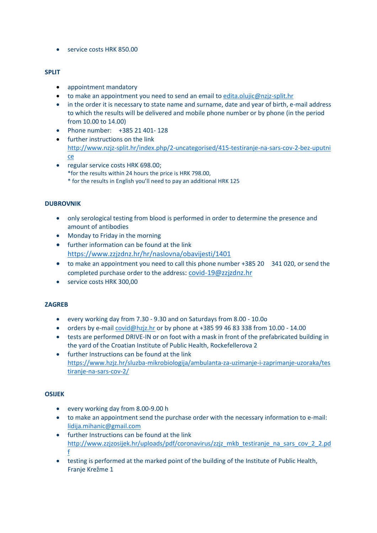• service costs HRK 850.00

## **SPLIT**

- appointment mandatory
- to make an appointment you need to send an email to [edita.olujic@nzjz-split.hr](mailto:edita.olujic@nzjz-split.hr)
- in the order it is necessary to state name and surname, date and year of birth, e-mail address to which the results will be delivered and mobile phone number or by phone (in the period from 10.00 to 14.00)
- Phone number: +385 21 401- 128
- further instructions on the link [http://www.nzjz-split.hr/index.php/2-uncategorised/415-testiranje-na-sars-cov-2-bez-uputni](http://www.nzjz-split.hr/index.php/2-uncategorised/415-testiranje-na-sars-cov-2-bez-uputnice) [ce](http://www.nzjz-split.hr/index.php/2-uncategorised/415-testiranje-na-sars-cov-2-bez-uputnice)
- regular service costs HRK 698.00; \*for the results within 24 hours the price is HRK 798.00, \* for the results in English you'll need to pay an additional HRK 125

## **DUBROVNIK**

- only serological testing from blood is performed in order to determine the presence and amount of antibodies
- Monday to Friday in the morning
- further information can be found at the link <https://www.zzjzdnz.hr/hr/naslovna/obavijesti/1401>
- to make an appointment you need to call this phone number +385 20 341 020, or send the completed purchase order to the address: [covid-19@zzjzdnz.hr](mailto:covid-19@zzjzdnz.hr)
- service costs HRK 300,00

### **ZAGREB**

- every working day from 7.30 9.30 and on Saturdays from 8.00 10.0o
- orders by e-mail [covid@hzjz.hr](mailto:covid@hzjz.hr) or by phone at +385 99 46 83 338 from 10.00 14.00
- tests are performed DRIVE-IN or on foot with a mask in front of the prefabricated building in the yard of the Croatian Institute of Public Health, Rockefellerova 2
- further Instructions can be found at the link [https://www.hzjz.hr/sluzba-mikrobiologija/ambulanta-za-uzimanje-i-zaprimanje-uzoraka/tes](https://www.hzjz.hr/sluzba-mikrobiologija/ambulanta-za-uzimanje-i-zaprimanje-uzoraka/testiranje-na-sars-cov-2/) [tiranje-na-sars-cov-2/](https://www.hzjz.hr/sluzba-mikrobiologija/ambulanta-za-uzimanje-i-zaprimanje-uzoraka/testiranje-na-sars-cov-2/)

### **OSIJEK**

- every working day from 8.00-9.00 h
- to make an appointment send the purchase order with the necessary information to e-mail: [lidija.mihanic@gmail.com](mailto:lidija.mihanic@gmail.com)
- further Instructions can be found at the link [http://www.zzjzosijek.hr/uploads/pdf/coronavirus/zzjz\\_mkb\\_testiranje\\_na\\_sars\\_cov\\_2\\_2.pd](http://www.zzjzosijek.hr/uploads/pdf/coronavirus/zzjz_mkb_testiranje_na_sars_cov_2_2.pdf) [f](http://www.zzjzosijek.hr/uploads/pdf/coronavirus/zzjz_mkb_testiranje_na_sars_cov_2_2.pdf)
- testing is performed at the marked point of the building of the Institute of Public Health, Franje Krežme 1